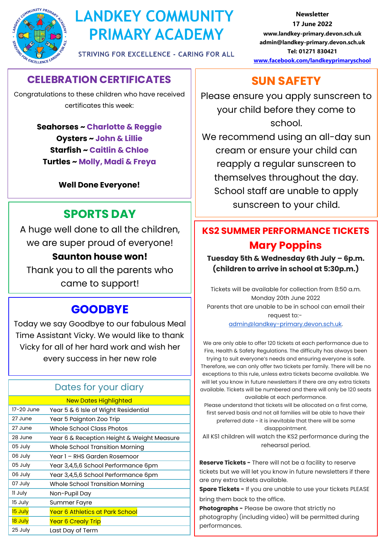

# **LANDKEY COMMUNITY PRIMARY ACADEMY**

**STRIVING FOR EXCELLENCE - CARING FOR ALL** 

**CELEBRATION CERTIFICATES**

Congratulations to these children who have received certificates this week:

> **Seahorses ~ Charlotte & Reggie Oysters ~ John & Lillie Starfish ~ Caitlin & Chloe Turtles ~ Molly, Madi & Freya**

> > **Well Done Everyone!**

# **SPORTS DAY**

A huge well done to all the children, we are super proud of everyone! **Saunton house won!**  Thank you to all the parents who

came to support!

## **GOODBYE**

Today we say Goodbye to our fabulous Meal Time Assistant Vicky. We would like to thank Vicky for all of her hard work and wish her every success in her new role

## Dates for your diary

|            | <b>New Dates Highlighted</b>               |
|------------|--------------------------------------------|
| 17-20 June | Year 5 & 6 Isle of Wight Residential       |
| 27 June    | Year 5 Paignton Zoo Trip                   |
| 27 June    | Whole School Class Photos                  |
| 28 June    | Year 6 & Reception Height & Weight Measure |
| 05 July    | Whole School Transition Morning            |
| 06 July    | Year 1 - RHS Garden Rosemoor               |
| 05 July    | Year 3,4,5,6 School Performance 6pm        |
| 06 July    | Year 3,4,5,6 School Performance 6pm        |
| 07 July    | Whole School Transition Morning            |
| 11 July    | Non-Pupil Day                              |
| 15 July    | <b>Summer Fayre</b>                        |
| 15 July    | <u>Year 6 Athletics at Park School</u>     |
| 18 July    | Year 6 Crealy Trip                         |
| 25 July    | Last Day of Term                           |

**Newsletter 17 June 2022 www.landkey-primary.devon.sch.uk admin@landkey-primary.devon.sch.uk Tel: 01271 830421 [www.facebook.com/landkeyprimaryschool](http://www.facebook.com/landkeyprimaryschool)**

# **SUN SAFETY**

Please ensure you apply sunscreen to your child before they come to school.

We recommend using an all-day sun cream or ensure your child can reapply a regular sunscreen to themselves throughout the day. School staff are unable to apply sunscreen to your child.

## **KS2 SUMMER PERFORMANCE TICKETS Mary Poppins**

## **Tuesday 5th & Wednesday 6th July – 6p.m. (children to arrive in school at 5:30p.m.)**

Tickets will be available for collection from 8:50 a.m. Monday 20th June 2022 Parents that are unable to be in school can email their request to: [admin@landkey-primary.devon.sch.uk.](mailto:admin@landkey-primary.devon.sch.uk)

We are only able to offer 120 tickets at each performance due to Fire, Health & Safety Regulations. The difficulty has always been trying to suit everyone's needs and ensuring everyone is safe. Therefore, we can only offer two tickets per family. There will be no exceptions to this rule, unless extra tickets become available. We will let you know in future newsletters if there are any extra tickets available. Tickets will be numbered and there will only be 120 seats available at each performance.

Please understand that tickets will be allocated on a first come, first served basis and not all families will be able to have their preferred date ~ it is inevitable that there will be some disappointment.

All KS1 children will watch the KS2 performance during the rehearsal period.

**Reserve Tickets -** There will not be a facility to reserve tickets but we will let you know in future newsletters if there are any extra tickets available.

**Spare Tickets -** If you are unable to use your tickets PLEASE bring them back to the office.

**Photographs -** Please be aware that strictly no photography (including video) will be permitted during performances.